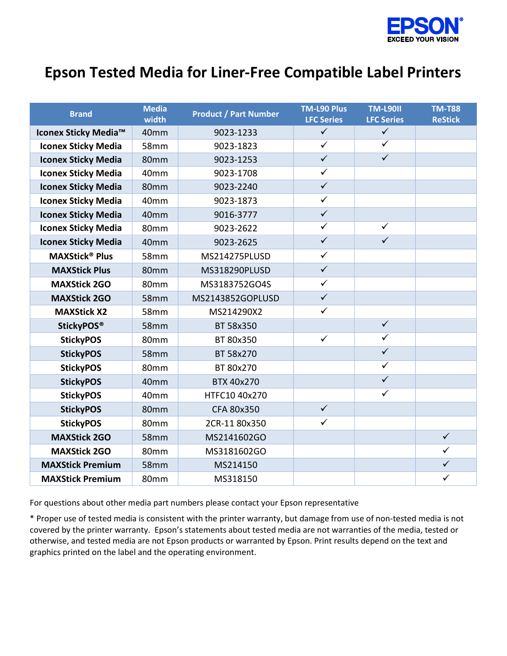

## Epson Tested Media for Liner-Free Compatible Label Printers

| <b>Brand</b>                     | <b>Media</b><br>width | <b>Product / Part Number</b> | <b>TM-L90 Plus</b><br><b>LFC Series</b> | <b>TM-L9011</b><br><b>LFC Series</b> | <b>TM-T88</b><br><b>ReStick</b> |
|----------------------------------|-----------------------|------------------------------|-----------------------------------------|--------------------------------------|---------------------------------|
| Iconex Sticky Media <sup>™</sup> | 40mm                  | 9023-1233                    | $\checkmark$                            | $\checkmark$                         |                                 |
| <b>Iconex Sticky Media</b>       | 58mm                  | 9023-1823                    | $\checkmark$                            | $\checkmark$                         |                                 |
| <b>Iconex Sticky Media</b>       | 80mm                  | 9023-1253                    | $\checkmark$                            | $\overline{\checkmark}$              |                                 |
| <b>Iconex Sticky Media</b>       | 40mm                  | 9023-1708                    | $\checkmark$                            |                                      |                                 |
| <b>Iconex Sticky Media</b>       | 80mm                  | 9023-2240                    | $\checkmark$                            |                                      |                                 |
| <b>Iconex Sticky Media</b>       | 40mm                  | 9023-1873                    | $\checkmark$                            |                                      |                                 |
| <b>Iconex Sticky Media</b>       | 40 <sub>mm</sub>      | 9016-3777                    | $\checkmark$                            |                                      |                                 |
| <b>Iconex Sticky Media</b>       | 80mm                  | 9023-2622                    | $\overline{\checkmark}$                 | $\checkmark$                         |                                 |
| <b>Iconex Sticky Media</b>       | 40mm                  | 9023-2625                    | $\overline{\checkmark}$                 | $\checkmark$                         |                                 |
| <b>MAXStick<sup>®</sup> Plus</b> | 58 <sub>mm</sub>      | MS214275PLUSD                | $\checkmark$                            |                                      |                                 |
| <b>MAXStick Plus</b>             | 80mm                  | MS318290PLUSD                | $\checkmark$                            |                                      |                                 |
| <b>MAXStick 2GO</b>              | 80mm                  | MS3183752GO4S                | $\checkmark$                            |                                      |                                 |
| <b>MAXStick 2GO</b>              | 58 <sub>mm</sub>      | MS2143852GOPLUSD             | $\checkmark$                            |                                      |                                 |
| <b>MAXStick X2</b>               | 58mm                  | MS214290X2                   | $\checkmark$                            |                                      |                                 |
| <b>StickyPOS®</b>                | 58mm                  | BT 58x350                    |                                         | $\checkmark$                         |                                 |
| <b>StickyPOS</b>                 | 80mm                  | BT 80x350                    | $\checkmark$                            | $\overline{\checkmark}$              |                                 |
| <b>StickyPOS</b>                 | 58mm                  | BT 58x270                    |                                         | $\overline{\checkmark}$              |                                 |
| <b>StickyPOS</b>                 | 80mm                  | BT 80x270                    |                                         | $\checkmark$                         |                                 |
| <b>StickyPOS</b>                 | 40mm                  | BTX 40x270                   |                                         | $\overline{\checkmark}$              |                                 |
| <b>StickyPOS</b>                 | 40mm                  | HTFC10 40x270                |                                         | $\checkmark$                         |                                 |
| <b>StickyPOS</b>                 | 80mm                  | CFA 80x350                   | $\checkmark$                            |                                      |                                 |
| <b>StickyPOS</b>                 | 80 <sub>mm</sub>      | 2CR-1180x350                 | $\checkmark$                            |                                      |                                 |
| <b>MAXStick 2GO</b>              | 58mm                  | MS2141602GO                  |                                         |                                      | $\checkmark$                    |
| <b>MAXStick 2GO</b>              | 80mm                  | MS3181602GO                  |                                         |                                      | $\checkmark$                    |
| <b>MAXStick Premium</b>          | <b>58mm</b>           | MS214150                     |                                         |                                      | $\checkmark$                    |
| <b>MAXStick Premium</b>          | 80mm                  | MS318150                     |                                         |                                      | $\checkmark$                    |

For questions about other media part numbers please contact your Epson representative

\* Proper use of tested media is consistent with the printer warranty, but damage from use of non-tested media is not covered by the printer warranty. Epson's statements about tested media are not warranties of the media, tested or otherwise, and tested media are not Epson products or warranted by Epson. Print results depend on the text and graphics printed on the label and the operating environment.